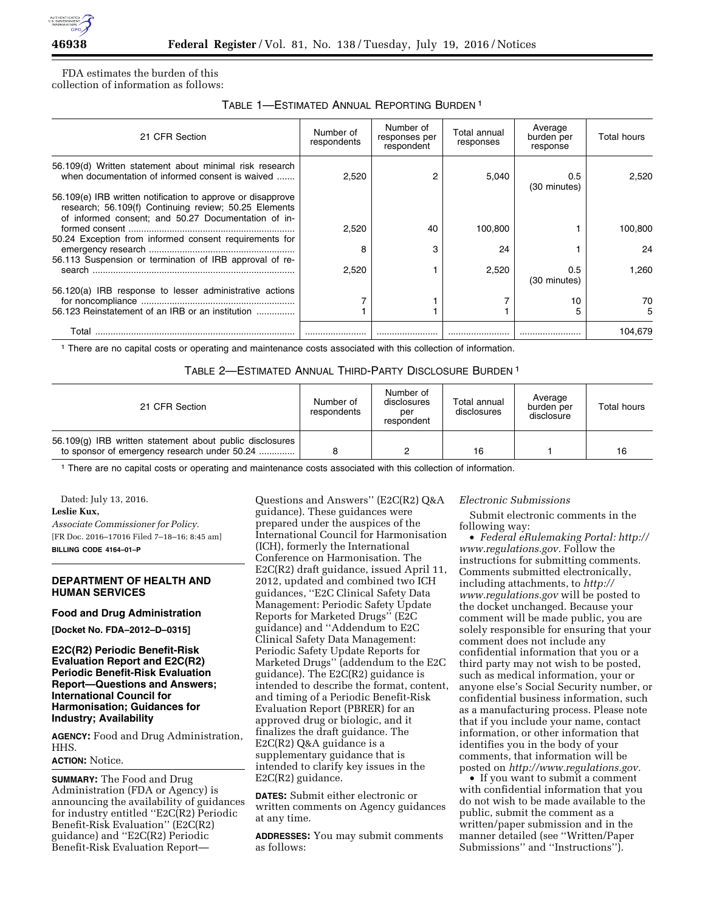

FDA estimates the burden of this collection of information as follows:

## TABLE 1—ESTIMATED ANNUAL REPORTING BURDEN 1

| 21 CFR Section                                                                                                                                                              | Number of<br>respondents | Number of<br>responses per<br>respondent | Total annual<br>responses | Average<br>burden per<br>response | <b>Total hours</b> |
|-----------------------------------------------------------------------------------------------------------------------------------------------------------------------------|--------------------------|------------------------------------------|---------------------------|-----------------------------------|--------------------|
| 56.109(d) Written statement about minimal risk research<br>when documentation of informed consent is waived                                                                 | 2,520                    |                                          | 5.040                     | 0.5<br>(30 minutes)               | 2.520              |
| 56.109(e) IRB written notification to approve or disapprove<br>research; 56.109(f) Continuing review; 50.25 Elements<br>of informed consent; and 50.27 Documentation of in- |                          |                                          |                           |                                   |                    |
| 50.24 Exception from informed consent requirements for                                                                                                                      | 2.520                    | 40                                       | 100,800                   |                                   | 100.800            |
| 56.113 Suspension or termination of IRB approval of re-                                                                                                                     | 8                        | з                                        | 24                        |                                   | 24                 |
|                                                                                                                                                                             | 2.520                    |                                          | 2,520                     | 0.5<br>(30 minutes)               | 1.260              |
| 56.120(a) IRB response to lesser administrative actions                                                                                                                     |                          |                                          |                           | 10                                | 70                 |
| 56.123 Reinstatement of an IRB or an institution                                                                                                                            |                          |                                          |                           |                                   | 5                  |
| Total                                                                                                                                                                       |                          |                                          |                           |                                   | 104.679            |

1 There are no capital costs or operating and maintenance costs associated with this collection of information.

#### TABLE 2—ESTIMATED ANNUAL THIRD-PARTY DISCLOSURE BURDEN 1

| 21 CFR Section                                                                                           | Number of<br>respondents | Number of<br>disclosures<br>per<br>respondent | Total annual<br>disclosures | Average<br>burden per<br>disclosure | Total hours |
|----------------------------------------------------------------------------------------------------------|--------------------------|-----------------------------------------------|-----------------------------|-------------------------------------|-------------|
| 56.109(g) IRB written statement about public disclosures<br>to sponsor of emergency research under 50.24 |                          |                                               | 16                          |                                     | 16          |

1 There are no capital costs or operating and maintenance costs associated with this collection of information.

Dated: July 13, 2016. **Leslie Kux,**  *Associate Commissioner for Policy.*  [FR Doc. 2016–17016 Filed 7–18–16; 8:45 am] **BILLING CODE 4164–01–P** 

### **DEPARTMENT OF HEALTH AND HUMAN SERVICES**

#### **Food and Drug Administration**

**[Docket No. FDA–2012–D–0315]** 

## **E2C(R2) Periodic Benefit-Risk Evaluation Report and E2C(R2) Periodic Benefit-Risk Evaluation Report—Questions and Answers; International Council for Harmonisation; Guidances for Industry; Availability**

**AGENCY:** Food and Drug Administration, HHS.

# **ACTION:** Notice.

**SUMMARY:** The Food and Drug Administration (FDA or Agency) is announcing the availability of guidances for industry entitled ''E2C(R2) Periodic Benefit-Risk Evaluation'' (E2C(R2) guidance) and ''E2C(R2) Periodic Benefit-Risk Evaluation ReportQuestions and Answers'' (E2C(R2) Q&A guidance). These guidances were prepared under the auspices of the International Council for Harmonisation (ICH), formerly the International Conference on Harmonisation. The E2C(R2) draft guidance, issued April 11, 2012, updated and combined two ICH guidances, ''E2C Clinical Safety Data Management: Periodic Safety Update Reports for Marketed Drugs'' (E2C guidance) and ''Addendum to E2C Clinical Safety Data Management: Periodic Safety Update Reports for Marketed Drugs'' (addendum to the E2C guidance). The E2C(R2) guidance is intended to describe the format, content, and timing of a Periodic Benefit-Risk Evaluation Report (PBRER) for an approved drug or biologic, and it finalizes the draft guidance. The E2C(R2) Q&A guidance is a supplementary guidance that is intended to clarify key issues in the E2C(R2) guidance.

**DATES:** Submit either electronic or written comments on Agency guidances at any time.

**ADDRESSES:** You may submit comments as follows:

#### *Electronic Submissions*

Submit electronic comments in the following way:

• *Federal eRulemaking Portal: [http://](http://www.regulations.gov)  [www.regulations.gov.](http://www.regulations.gov)* Follow the instructions for submitting comments. Comments submitted electronically, including attachments, to *[http://](http://www.regulations.gov) [www.regulations.gov](http://www.regulations.gov)* will be posted to the docket unchanged. Because your comment will be made public, you are solely responsible for ensuring that your comment does not include any confidential information that you or a third party may not wish to be posted, such as medical information, your or anyone else's Social Security number, or confidential business information, such as a manufacturing process. Please note that if you include your name, contact information, or other information that identifies you in the body of your comments, that information will be posted on *[http://www.regulations.gov.](http://www.regulations.gov)* 

• If you want to submit a comment with confidential information that you do not wish to be made available to the public, submit the comment as a written/paper submission and in the manner detailed (see ''Written/Paper Submissions'' and ''Instructions'').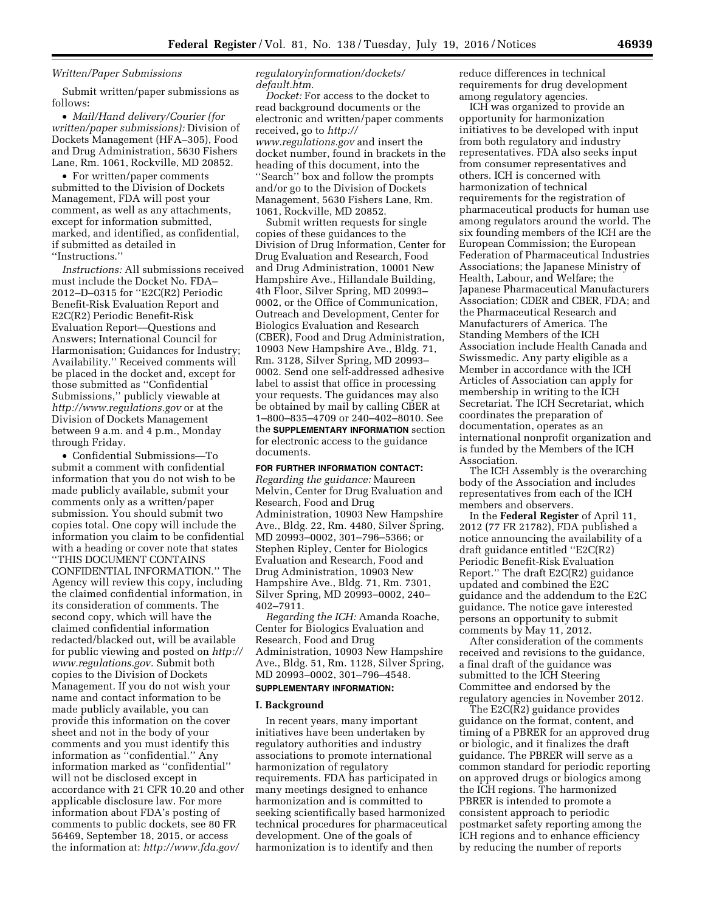### *Written/Paper Submissions*

Submit written/paper submissions as follows:

• *Mail/Hand delivery/Courier (for written/paper submissions):* Division of Dockets Management (HFA–305), Food and Drug Administration, 5630 Fishers Lane, Rm. 1061, Rockville, MD 20852.

• For written/paper comments submitted to the Division of Dockets Management, FDA will post your comment, as well as any attachments, except for information submitted, marked, and identified, as confidential, if submitted as detailed in ''Instructions.''

*Instructions:* All submissions received must include the Docket No. FDA– 2012–D–0315 for ''E2C(R2) Periodic Benefit-Risk Evaluation Report and E2C(R2) Periodic Benefit-Risk Evaluation Report—Questions and Answers; International Council for Harmonisation; Guidances for Industry; Availability.'' Received comments will be placed in the docket and, except for those submitted as ''Confidential Submissions,'' publicly viewable at *<http://www.regulations.gov>* or at the Division of Dockets Management between 9 a.m. and 4 p.m., Monday through Friday.

• Confidential Submissions—To submit a comment with confidential information that you do not wish to be made publicly available, submit your comments only as a written/paper submission. You should submit two copies total. One copy will include the information you claim to be confidential with a heading or cover note that states ''THIS DOCUMENT CONTAINS CONFIDENTIAL INFORMATION.'' The Agency will review this copy, including the claimed confidential information, in its consideration of comments. The second copy, which will have the claimed confidential information redacted/blacked out, will be available for public viewing and posted on *[http://](http://www.regulations.gov)  [www.regulations.gov.](http://www.regulations.gov)* Submit both copies to the Division of Dockets Management. If you do not wish your name and contact information to be made publicly available, you can provide this information on the cover sheet and not in the body of your comments and you must identify this information as ''confidential.'' Any information marked as ''confidential'' will not be disclosed except in accordance with 21 CFR 10.20 and other applicable disclosure law. For more information about FDA's posting of comments to public dockets, see 80 FR 56469, September 18, 2015, or access the information at: *[http://www.fda.gov/](http://www.fda.gov/regulatoryinformation/dockets/default.htm)* 

*[regulatoryinformation/dockets/](http://www.fda.gov/regulatoryinformation/dockets/default.htm) [default.htm.](http://www.fda.gov/regulatoryinformation/dockets/default.htm)* 

*Docket:* For access to the docket to read background documents or the electronic and written/paper comments received, go to *[http://](http://www.regulations.gov) [www.regulations.gov](http://www.regulations.gov)* and insert the docket number, found in brackets in the heading of this document, into the ''Search'' box and follow the prompts and/or go to the Division of Dockets Management, 5630 Fishers Lane, Rm. 1061, Rockville, MD 20852.

Submit written requests for single copies of these guidances to the Division of Drug Information, Center for Drug Evaluation and Research, Food and Drug Administration, 10001 New Hampshire Ave., Hillandale Building, 4th Floor, Silver Spring, MD 20993– 0002, or the Office of Communication, Outreach and Development, Center for Biologics Evaluation and Research (CBER), Food and Drug Administration, 10903 New Hampshire Ave., Bldg. 71, Rm. 3128, Silver Spring, MD 20993– 0002. Send one self-addressed adhesive label to assist that office in processing your requests. The guidances may also be obtained by mail by calling CBER at 1–800–835–4709 or 240–402–8010. See the **SUPPLEMENTARY INFORMATION** section for electronic access to the guidance documents.

#### **FOR FURTHER INFORMATION CONTACT:**

*Regarding the guidance:* Maureen Melvin, Center for Drug Evaluation and Research, Food and Drug Administration, 10903 New Hampshire Ave., Bldg. 22, Rm. 4480, Silver Spring, MD 20993–0002, 301–796–5366; or Stephen Ripley, Center for Biologics Evaluation and Research, Food and Drug Administration, 10903 New Hampshire Ave., Bldg. 71, Rm. 7301, Silver Spring, MD 20993–0002, 240– 402–7911.

*Regarding the ICH:* Amanda Roache, Center for Biologics Evaluation and Research, Food and Drug Administration, 10903 New Hampshire Ave., Bldg. 51, Rm. 1128, Silver Spring, MD 20993–0002, 301–796–4548.

### **SUPPLEMENTARY INFORMATION:**

#### **I. Background**

In recent years, many important initiatives have been undertaken by regulatory authorities and industry associations to promote international harmonization of regulatory requirements. FDA has participated in many meetings designed to enhance harmonization and is committed to seeking scientifically based harmonized technical procedures for pharmaceutical development. One of the goals of harmonization is to identify and then

reduce differences in technical requirements for drug development among regulatory agencies.

ICH was organized to provide an opportunity for harmonization initiatives to be developed with input from both regulatory and industry representatives. FDA also seeks input from consumer representatives and others. ICH is concerned with harmonization of technical requirements for the registration of pharmaceutical products for human use among regulators around the world. The six founding members of the ICH are the European Commission; the European Federation of Pharmaceutical Industries Associations; the Japanese Ministry of Health, Labour, and Welfare; the Japanese Pharmaceutical Manufacturers Association; CDER and CBER, FDA; and the Pharmaceutical Research and Manufacturers of America. The Standing Members of the ICH Association include Health Canada and Swissmedic. Any party eligible as a Member in accordance with the ICH Articles of Association can apply for membership in writing to the ICH Secretariat. The ICH Secretariat, which coordinates the preparation of documentation, operates as an international nonprofit organization and is funded by the Members of the ICH Association.

The ICH Assembly is the overarching body of the Association and includes representatives from each of the ICH members and observers.

In the **Federal Register** of April 11, 2012 (77 FR 21782), FDA published a notice announcing the availability of a draft guidance entitled ''E2C(R2) Periodic Benefit-Risk Evaluation Report.'' The draft E2C(R2) guidance updated and combined the E2C guidance and the addendum to the E2C guidance. The notice gave interested persons an opportunity to submit comments by May 11, 2012.

After consideration of the comments received and revisions to the guidance, a final draft of the guidance was submitted to the ICH Steering Committee and endorsed by the regulatory agencies in November 2012.

The  $E2\tilde{C}(\tilde{R}2)$  guidance provides guidance on the format, content, and timing of a PBRER for an approved drug or biologic, and it finalizes the draft guidance. The PBRER will serve as a common standard for periodic reporting on approved drugs or biologics among the ICH regions. The harmonized PBRER is intended to promote a consistent approach to periodic postmarket safety reporting among the ICH regions and to enhance efficiency by reducing the number of reports